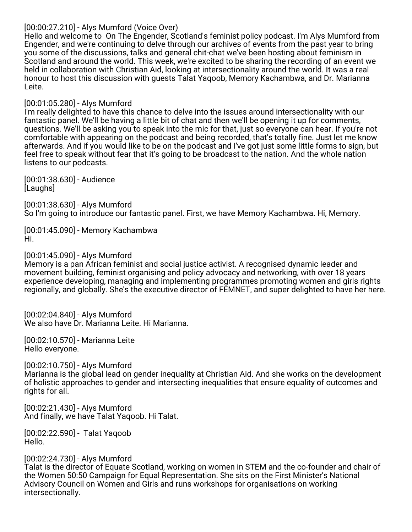### [00:00:27.210] - Alys Mumford (Voice Over)

Hello and welcome to On The Engender, Scotland's feminist policy podcast. I'm Alys Mumford from Engender, and we're continuing to delve through our archives of events from the past year to bring you some of the discussions, talks and general chit-chat we've been hosting about feminism in Scotland and around the world. This week, we're excited to be sharing the recording of an event we held in collaboration with Christian Aid, looking at intersectionality around the world. It was a real honour to host this discussion with guests Talat Yaqoob, Memory Kachambwa, and Dr. Marianna Leite.

## [00:01:05.280] - Alys Mumford

I'm really delighted to have this chance to delve into the issues around intersectionality with our fantastic panel. We'll be having a little bit of chat and then we'll be opening it up for comments, questions. We'll be asking you to speak into the mic for that, just so everyone can hear. If you're not comfortable with appearing on the podcast and being recorded, that's totally fine. Just let me know afterwards. And if you would like to be on the podcast and I've got just some little forms to sign, but feel free to speak without fear that it's going to be broadcast to the nation. And the whole nation listens to our podcasts.

[00:01:38.630] - Audience [Laughs]

[00:01:38.630] - Alys Mumford So I'm going to introduce our fantastic panel. First, we have Memory Kachambwa. Hi, Memory.

[00:01:45.090] - Memory Kachambwa Hi.

### [00:01:45.090] - Alys Mumford

Memory is a pan African feminist and social justice activist. A recognised dynamic leader and movement building, feminist organising and policy advocacy and networking, with over 18 years experience developing, managing and implementing programmes promoting women and girls rights regionally, and globally. She's the executive director of FEMNET, and super delighted to have her here.

[00:02:04.840] - Alys Mumford We also have Dr. Marianna Leite. Hi Marianna.

[00:02:10.570] - Marianna Leite Hello everyone.

[00:02:10.750] - Alys Mumford Marianna is the global lead on gender inequality at Christian Aid. And she works on the development of holistic approaches to gender and intersecting inequalities that ensure equality of outcomes and rights for all.

[00:02:21.430] - Alys Mumford And finally, we have Talat Yaqoob. Hi Talat.

[00:02:22.590] - Talat Yaqoob Hello.

## [00:02:24.730] - Alys Mumford

Talat is the director of Equate Scotland, working on women in STEM and the co-founder and chair of the Women 50:50 Campaign for Equal Representation. She sits on the First Minister's National Advisory Council on Women and Girls and runs workshops for organisations on working intersectionally.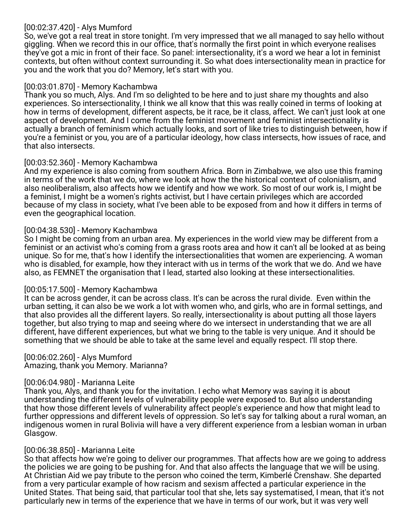## [00:02:37.420] - Alys Mumford

So, we've got a real treat in store tonight. I'm very impressed that we all managed to say hello without giggling. When we record this in our office, that's normally the first point in which everyone realises they've got a mic in front of their face. So panel: intersectionality, it's a word we hear a lot in feminist contexts, but often without context surrounding it. So what does intersectionality mean in practice for you and the work that you do? Memory, let's start with you.

## [00:03:01.870] - Memory Kachambwa

Thank you so much, Alys. And I'm so delighted to be here and to just share my thoughts and also experiences. So intersectionality, I think we all know that this was really coined in terms of looking at how in terms of development, different aspects, be it race, be it class, affect. We can't just look at one aspect of development. And I come from the feminist movement and feminist intersectionality is actually a branch of feminism which actually looks, and sort of like tries to distinguish between, how if you're a feminist or you, you are of a particular ideology, how class intersects, how issues of race, and that also intersects.

## [00:03:52.360] - Memory Kachambwa

And my experience is also coming from southern Africa. Born in Zimbabwe, we also use this framing in terms of the work that we do, where we look at how the the historical context of colonialism, and also neoliberalism, also affects how we identify and how we work. So most of our work is, I might be a feminist, I might be a women's rights activist, but I have certain privileges which are accorded because of my class in society, what I've been able to be exposed from and how it differs in terms of even the geographical location.

## [00:04:38.530] - Memory Kachambwa

So I might be coming from an urban area. My experiences in the world view may be different from a feminist or an activist who's coming from a grass roots area and how it can't all be looked at as being unique. So for me, that's how I identify the intersectionalities that women are experiencing. A woman who is disabled, for example, how they interact with us in terms of the work that we do. And we have also, as FEMNET the organisation that I lead, started also looking at these intersectionalities.

## [00:05:17.500] - Memory Kachambwa

It can be across gender, it can be across class. It's can be across the rural divide. Even within the urban setting, it can also be we work a lot with women who, and girls, who are in formal settings, and that also provides all the different layers. So really, intersectionality is about putting all those layers together, but also trying to map and seeing where do we intersect in understanding that we are all different, have different experiences, but what we bring to the table is very unique. And it should be something that we should be able to take at the same level and equally respect. I'll stop there.

# [00:06:02.260] - Alys Mumford

Amazing, thank you Memory. Marianna?

## [00:06:04.980] - Marianna Leite

Thank you, Alys, and thank you for the invitation. I echo what Memory was saying it is about understanding the different levels of vulnerability people were exposed to. But also understanding that how those different levels of vulnerability affect people's experience and how that might lead to further oppressions and different levels of oppression. So let's say for talking about a rural woman, an indigenous women in rural Bolivia will have a very different experience from a lesbian woman in urban Glasgow.

## [00:06:38.850] - Marianna Leite

So that affects how we're going to deliver our programmes. That affects how are we going to address the policies we are going to be pushing for. And that also affects the language that we will be using. At Christian Aid we pay tribute to the person who coined the term, Kimberlé Crenshaw. She departed from a very particular example of how racism and sexism affected a particular experience in the United States. That being said, that particular tool that she, lets say systematised, I mean, that it's not particularly new in terms of the experience that we have in terms of our work, but it was very well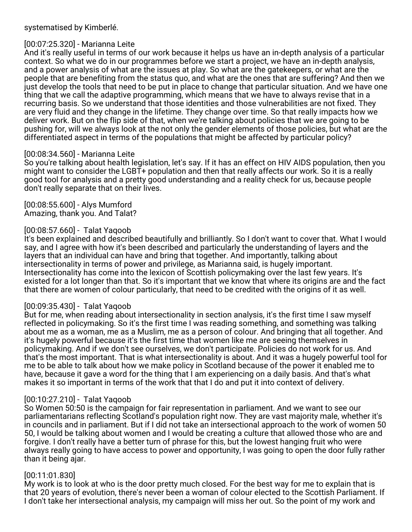#### systematised by Kimberlé.

## [00:07:25.320] - Marianna Leite

And it's really useful in terms of our work because it helps us have an in-depth analysis of a particular context. So what we do in our programmes before we start a project, we have an in-depth analysis, and a power analysis of what are the issues at play. So what are the gatekeepers, or what are the people that are benefiting from the status quo, and what are the ones that are suffering? And then we just develop the tools that need to be put in place to change that particular situation. And we have one thing that we call the adaptive programming, which means that we have to always revise that in a recurring basis. So we understand that those identities and those vulnerabilities are not fixed. They are very fluid and they change in the lifetime. They change over time. So that really impacts how we deliver work. But on the flip side of that, when we're talking about policies that we are going to be pushing for, will we always look at the not only the gender elements of those policies, but what are the differentiated aspect in terms of the populations that might be affected by particular policy?

### [00:08:34.560] - Marianna Leite

So you're talking about health legislation, let's say. If it has an effect on HIV AIDS population, then you might want to consider the LGBT+ population and then that really affects our work. So it is a really good tool for analysis and a pretty good understanding and a reality check for us, because people don't really separate that on their lives.

[00:08:55.600] - Alys Mumford Amazing, thank you. And Talat?

## [00:08:57.660] - Talat Yaqoob

It's been explained and described beautifully and brilliantly. So I don't want to cover that. What I would say, and I agree with how it's been described and particularly the understanding of layers and the layers that an individual can have and bring that together. And importantly, talking about intersectionality in terms of power and privilege, as Marianna said, is hugely important. Intersectionality has come into the lexicon of Scottish policymaking over the last few years. It's existed for a lot longer than that. So it's important that we know that where its origins are and the fact that there are women of colour particularly, that need to be credited with the origins of it as well.

#### [00:09:35.430] - Talat Yaqoob

But for me, when reading about intersectionality in section analysis, it's the first time I saw myself reflected in policymaking. So it's the first time I was reading something, and something was talking about me as a woman, me as a Muslim, me as a person of colour. And bringing that all together. And it's hugely powerful because it's the first time that women like me are seeing themselves in policymaking. And if we don't see ourselves, we don't participate. Policies do not work for us. And that's the most important. That is what intersectionality is about. And it was a hugely powerful tool for me to be able to talk about how we make policy in Scotland because of the power it enabled me to have, because it gave a word for the thing that I am experiencing on a daily basis. And that's what makes it so important in terms of the work that that I do and put it into context of delivery.

## [00:10:27.210] - Talat Yaqoob

So Women 50:50 is the campaign for fair representation in parliament. And we want to see our parliamentarians reflecting Scotland's population right now. They are vast majority male, whether it's in councils and in parliament. But if I did not take an intersectional approach to the work of women 50 50, I would be talking about women and I would be creating a culture that allowed those who are and forgive. I don't really have a better turn of phrase for this, but the lowest hanging fruit who were always really going to have access to power and opportunity, I was going to open the door fully rather than it being ajar.

#### [00:11:01.830]

My work is to look at who is the door pretty much closed. For the best way for me to explain that is that 20 years of evolution, there's never been a woman of colour elected to the Scottish Parliament. If I don't take her intersectional analysis, my campaign will miss her out. So the point of my work and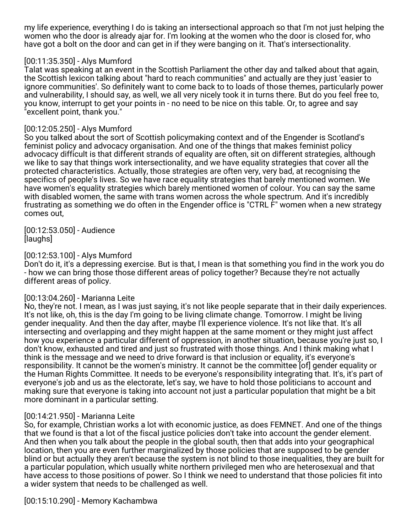my life experience, everything I do is taking an intersectional approach so that I'm not just helping the women who the door is already ajar for. I'm looking at the women who the door is closed for, who have got a bolt on the door and can get in if they were banging on it. That's intersectionality.

## [00:11:35.350] - Alys Mumford

Talat was speaking at an event in the Scottish Parliament the other day and talked about that again, the Scottish lexicon talking about "hard to reach communities" and actually are they just 'easier to ignore communities'. So definitely want to come back to to loads of those themes, particularly power and vulnerability, I should say, as well, we all very nicely took it in turns there. But do you feel free to, you know, interrupt to get your points in - no need to be nice on this table. Or, to agree and say "excellent point, thank you."

### [00:12:05.250] - Alys Mumford

So you talked about the sort of Scottish policymaking context and of the Engender is Scotland's feminist policy and advocacy organisation. And one of the things that makes feminist policy advocacy difficult is that different strands of equality are often, sit on different strategies, although we like to say that things work intersectionality, and we have equality strategies that cover all the protected characteristics. Actually, those strategies are often very, very bad, at recognising the specifics of people's lives. So we have race equality strategies that barely mentioned women. We have women's equality strategies which barely mentioned women of colour. You can say the same with disabled women, the same with trans women across the whole spectrum. And it's incredibly frustrating as something we do often in the Engender office is "CTRL F" women when a new strategy comes out,

[00:12:53.050] - Audience [laughs]

### [00:12:53.100] - Alys Mumford

Don't do it, it's a depressing exercise. But is that, I mean is that something you find in the work you do - how we can bring those those different areas of policy together? Because they're not actually different areas of policy.

#### [00:13:04.260] - Marianna Leite

No, they're not. I mean, as I was just saying, it's not like people separate that in their daily experiences. It's not like, oh, this is the day I'm going to be living climate change. Tomorrow. I might be living gender inequality. And then the day after, maybe I'll experience violence. It's not like that. It's all intersecting and overlapping and they might happen at the same moment or they might just affect how you experience a particular different of oppression, in another situation, because you're just so, I don't know, exhausted and tired and just so frustrated with those things. And I think making what I think is the message and we need to drive forward is that inclusion or equality, it's everyone's responsibility. It cannot be the women's ministry. It cannot be the committee [of] gender equality or the Human Rights Committee. It needs to be everyone's responsibility integrating that. It's, it's part of everyone's job and us as the electorate, let's say, we have to hold those politicians to account and making sure that everyone is taking into account not just a particular population that might be a bit more dominant in a particular setting.

## [00:14:21.950] - Marianna Leite

So, for example, Christian works a lot with economic justice, as does FEMNET. And one of the things that we found is that a lot of the fiscal justice policies don't take into account the gender element. And then when you talk about the people in the global south, then that adds into your geographical location, then you are even further marginalized by those policies that are supposed to be gender blind or but actually they aren't because the system is not blind to those inequalities, they are built for a particular population, which usually white northern privileged men who are heterosexual and that have access to those positions of power. So I think we need to understand that those policies fit into a wider system that needs to be challenged as well.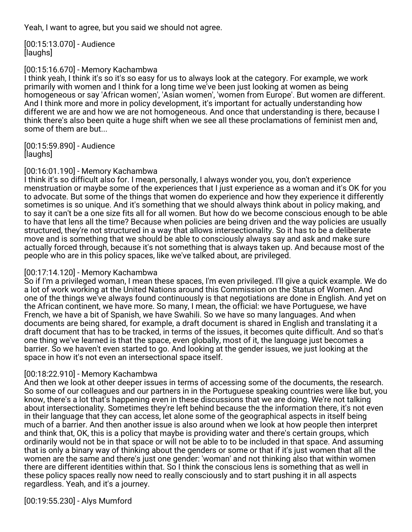Yeah, I want to agree, but you said we should not agree.

[00:15:13.070] - Audience [laughs]

## [00:15:16.670] - Memory Kachambwa

I think yeah, I think it's so it's so easy for us to always look at the category. For example, we work primarily with women and I think for a long time we've been just looking at women as being homogeneous or say 'African women', 'Asian women', 'women from Europe'. But women are different. And I think more and more in policy development, it's important for actually understanding how different we are and how we are not homogeneous. And once that understanding is there, because I think there's also been quite a huge shift when we see all these proclamations of feminist men and, some of them are but...

[00:15:59.890] - Audience [laughs]

### [00:16:01.190] - Memory Kachambwa

I think it's so difficult also for. I mean, personally, I always wonder you, you, don't experience menstruation or maybe some of the experiences that I just experience as a woman and it's OK for you to advocate. But some of the things that women do experience and how they experience it differently sometimes is so unique. And it's something that we should always think about in policy making, and to say it can't be a one size fits all for all women. But how do we become conscious enough to be able to have that lens all the time? Because when policies are being driven and the way policies are usually structured, they're not structured in a way that allows intersectionality. So it has to be a deliberate move and is something that we should be able to consciously always say and ask and make sure actually forced through, because it's not something that is always taken up. And because most of the people who are in this policy spaces, like we've talked about, are privileged.

## [00:17:14.120] - Memory Kachambwa

So if I'm a privileged woman, I mean these spaces, I'm even privileged. I'll give a quick example. We do a lot of work working at the United Nations around this Commission on the Status of Women. And one of the things we've always found continuously is that negotiations are done in English. And yet on the African continent, we have more. So many, I mean, the official: we have Portuguese, we have French, we have a bit of Spanish, we have Swahili. So we have so many languages. And when documents are being shared, for example, a draft document is shared in English and translating it a draft document that has to be tracked, in terms of the issues, it becomes quite difficult. And so that's one thing we've learned is that the space, even globally, most of it, the language just becomes a barrier. So we haven't even started to go. And looking at the gender issues, we just looking at the space in how it's not even an intersectional space itself.

## [00:18:22.910] - Memory Kachambwa

And then we look at other deeper issues in terms of accessing some of the documents, the research. So some of our colleagues and our partners in in the Portuguese speaking countries were like but, you know, there's a lot that's happening even in these discussions that we are doing. We're not talking about intersectionality. Sometimes they're left behind because the the information there, it's not even in their language that they can access, let alone some of the geographical aspects in itself being much of a barrier. And then another issue is also around when we look at how people then interpret and think that, OK, this is a policy that maybe is providing water and there's certain groups, which ordinarily would not be in that space or will not be able to to be included in that space. And assuming that is only a binary way of thinking about the genders or some or that if it's just women that all the women are the same and there's just one gender: 'woman' and not thinking also that within women there are different identities within that. So I think the conscious lens is something that as well in these policy spaces really now need to really consciously and to start pushing it in all aspects regardless. Yeah, and it's a journey.

[00:19:55.230] - Alys Mumford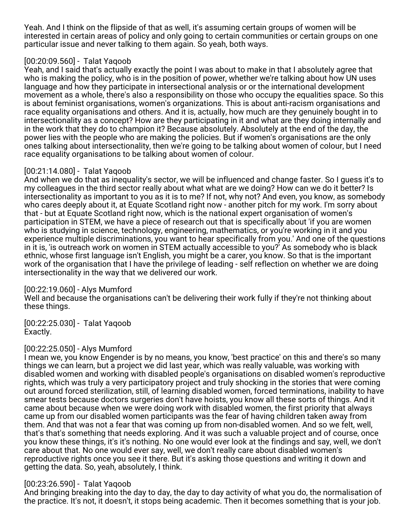Yeah. And I think on the flipside of that as well, it's assuming certain groups of women will be interested in certain areas of policy and only going to certain communities or certain groups on one particular issue and never talking to them again. So yeah, both ways.

## [00:20:09.560] - Talat Yaqoob

Yeah, and I said that's actually exactly the point I was about to make in that I absolutely agree that who is making the policy, who is in the position of power, whether we're talking about how UN uses language and how they participate in intersectional analysis or or the international development movement as a whole, there's also a responsibility on those who occupy the equalities space. So this is about feminist organisations, women's organizations. This is about anti-racism organisations and race equality organisations and others. And it is, actually, how much are they genuinely bought in to intersectionality as a concept? How are they participating in it and what are they doing internally and in the work that they do to champion it? Because absolutely. Absolutely at the end of the day, the power lies with the people who are making the policies. But if women's organisations are the only ones talking about intersectionality, then we're going to be talking about women of colour, but I need race equality organisations to be talking about women of colour.

## [00:21:14.080] - Talat Yaqoob

And when we do that as inequality's sector, we will be influenced and change faster. So I guess it's to my colleagues in the third sector really about what what are we doing? How can we do it better? Is intersectionality as important to you as it is to me? If not, why not? And even, you know, as somebody who cares deeply about it, at Equate Scotland right now - another pitch for my work. I'm sorry about that - but at Equate Scotland right now, which is the national expert organisation of women's participation in STEM, we have a piece of research out that is specifically about 'if you are women who is studying in science, technology, engineering, mathematics, or you're working in it and you experience multiple discriminations, you want to hear specifically from you.' And one of the questions in it is, 'is outreach work on women in STEM actually accessible to you?' As somebody who is black ethnic, whose first language isn't English, you might be a carer, you know. So that is the important work of the organisation that I have the privilege of leading - self reflection on whether we are doing intersectionality in the way that we delivered our work.

## [00:22:19.060] - Alys Mumford

Well and because the organisations can't be delivering their work fully if they're not thinking about these things.

[00:22:25.030] - Talat Yaqoob Exactly.

## [00:22:25.050] - Alys Mumford

I mean we, you know Engender is by no means, you know, 'best practice' on this and there's so many things we can learn, but a project we did last year, which was really valuable, was working with disabled women and working with disabled people's organisations on disabled women's reproductive rights, which was truly a very participatory project and truly shocking in the stories that were coming out around forced sterilization, still, of learning disabled women, forced terminations, inability to have smear tests because doctors surgeries don't have hoists, you know all these sorts of things. And it came about because when we were doing work with disabled women, the first priority that always came up from our disabled women participants was the fear of having children taken away from them. And that was not a fear that was coming up from non-disabled women. And so we felt, well, that's that's something that needs exploring. And it was such a valuable project and of course, once you know these things, it's it's nothing. No one would ever look at the findings and say, well, we don't care about that. No one would ever say, well, we don't really care about disabled women's reproductive rights once you see it there. But it's asking those questions and writing it down and getting the data. So, yeah, absolutely, I think.

## [00:23:26.590] - Talat Yaqoob

And bringing breaking into the day to day, the day to day activity of what you do, the normalisation of the practice. It's not, it doesn't, it stops being academic. Then it becomes something that is your job.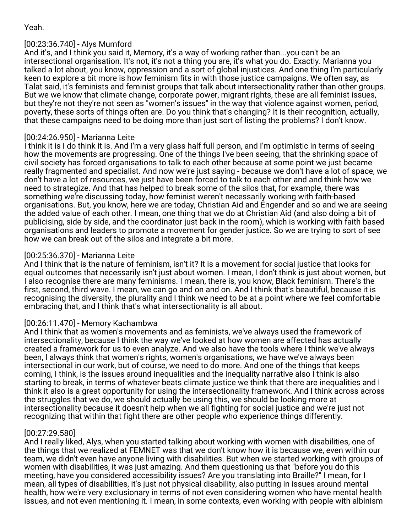## [00:23:36.740] - Alys Mumford

And it's, and I think you said it, Memory, it's a way of working rather than...you can't be an intersectional organisation. It's not, it's not a thing you are, it's what you do. Exactly. Marianna you talked a lot about, you know, oppression and a sort of global injustices. And one thing I'm particularly keen to explore a bit more is how feminism fits in with those justice campaigns. We often say, as Talat said, it's feminists and feminist groups that talk about intersectionality rather than other groups. But we we know that climate change, corporate power, migrant rights, these are all feminist issues, but they're not they're not seen as "women's issues" in the way that violence against women, period, poverty, these sorts of things often are. Do you think that's changing? It is their recognition, actually, that these campaigns need to be doing more than just sort of listing the problems? I don't know.

## [00:24:26.950] - Marianna Leite

I think it is I do think it is. And I'm a very glass half full person, and I'm optimistic in terms of seeing how the movements are progressing. One of the things I've been seeing, that the shrinking space of civil society has forced organisations to talk to each other because at some point we just became really fragmented and specialist. And now we're just saying - because we don't have a lot of space, we don't have a lot of resources, we just have been forced to talk to each other and and think how we need to strategize. And that has helped to break some of the silos that, for example, there was something we're discussing today, how feminist weren't necessarily working with faith-based organisations. But, you know, here we are today, Christian Aid and Engender and so and we are seeing the added value of each other. I mean, one thing that we do at Christian Aid (and also doing a bit of publicising, side by side, and the coordinator just back in the room), which is working with faith based organisations and leaders to promote a movement for gender justice. So we are trying to sort of see how we can break out of the silos and integrate a bit more.

## [00:25:36.370] - Marianna Leite

And I think that is the nature of feminism, isn't it? It is a movement for social justice that looks for equal outcomes that necessarily isn't just about women. I mean, I don't think is just about women, but I also recognise there are many feminisms. I mean, there is, you know, Black feminism. There's the first, second, third wave. I mean, we can go and on and on. And I think that's beautiful, because it is recognising the diversity, the plurality and I think we need to be at a point where we feel comfortable embracing that, and I think that's what intersectionality is all about.

## [00:26:11.470] - Memory Kachambwa

And I think that as women's movements and as feminists, we've always used the framework of intersectionality, because I think the way we've looked at how women are affected has actually created a framework for us to even analyze. And we also have the tools where I think we've always been, I always think that women's rights, women's organisations, we have we've always been intersectional in our work, but of course, we need to do more. And one of the things that keeps coming, I think, is the issues around inequalities and the inequality narrative also I think is also starting to break, in terms of whatever beats climate justice we think that there are inequalities and I think it also is a great opportunity for using the intersectionality framework. And I think across across the struggles that we do, we should actually be using this, we should be looking more at intersectionality because it doesn't help when we all fighting for social justice and we're just not recognizing that within that fight there are other people who experience things differently.

## [00:27:29.580]

And I really liked, Alys, when you started talking about working with women with disabilities, one of the things that we realized at FEMNET was that we don't know how it is because we, even within our team, we didn't even have anyone living with disabilities. But when we started working with groups of women with disabilities, it was just amazing. And them questioning us that "before you do this meeting, have you considered accessibility issues? Are you translating into Braille?" I mean, for I mean, all types of disabilities, it's just not physical disability, also putting in issues around mental health, how we're very exclusionary in terms of not even considering women who have mental health issues, and not even mentioning it. I mean, in some contexts, even working with people with albinism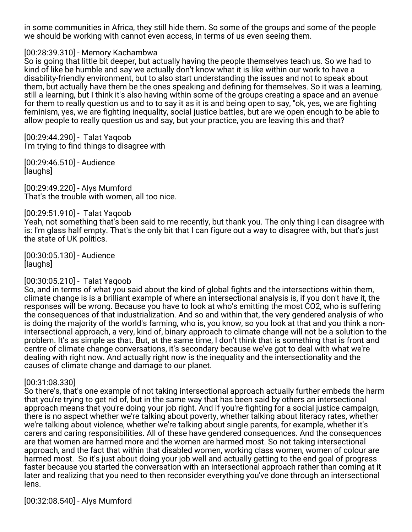in some communities in Africa, they still hide them. So some of the groups and some of the people we should be working with cannot even access, in terms of us even seeing them.

### [00:28:39.310] - Memory Kachambwa

So is going that little bit deeper, but actually having the people themselves teach us. So we had to kind of like be humble and say we actually don't know what it is like within our work to have a disability-friendly environment, but to also start understanding the issues and not to speak about them, but actually have them be the ones speaking and defining for themselves. So it was a learning, still a learning, but I think it's also having within some of the groups creating a space and an avenue for them to really question us and to to say it as it is and being open to say, "ok, yes, we are fighting feminism, yes, we are fighting inequality, social justice battles, but are we open enough to be able to allow people to really question us and say, but your practice, you are leaving this and that?

[00:29:44.290] - Talat Yaqoob I'm trying to find things to disagree with

[00:29:46.510] - Audience [laughs]

[00:29:49.220] - Alys Mumford That's the trouble with women, all too nice.

### [00:29:51.910] - Talat Yaqoob

Yeah, not something that's been said to me recently, but thank you. The only thing I can disagree with is: I'm glass half empty. That's the only bit that I can figure out a way to disagree with, but that's just the state of UK politics.

[00:30:05.130] - Audience [laughs]

#### [00:30:05.210] - Talat Yaqoob

So, and in terms of what you said about the kind of global fights and the intersections within them, climate change is is a brilliant example of where an intersectional analysis is, if you don't have it, the responses will be wrong. Because you have to look at who's emitting the most CO2, who is suffering the consequences of that industrialization. And so and within that, the very gendered analysis of who is doing the majority of the world's farming, who is, you know, so you look at that and you think a nonintersectional approach, a very, kind of, binary approach to climate change will not be a solution to the problem. It's as simple as that. But, at the same time, I don't think that is something that is front and centre of climate change conversations, it's secondary because we've got to deal with what we're dealing with right now. And actually right now is the inequality and the intersectionality and the causes of climate change and damage to our planet.

#### [00:31:08.330]

So there's, that's one example of not taking intersectional approach actually further embeds the harm that you're trying to get rid of, but in the same way that has been said by others an intersectional approach means that you're doing your job right. And if you're fighting for a social justice campaign, there is no aspect whether we're talking about poverty, whether talking about literacy rates, whether we're talking about violence, whether we're talking about single parents, for example, whether it's carers and caring responsibilities. All of these have gendered consequences. And the consequences are that women are harmed more and the women are harmed most. So not taking intersectional approach, and the fact that within that disabled women, working class women, women of colour are harmed most. So it's just about doing your job well and actually getting to the end goal of progress faster because you started the conversation with an intersectional approach rather than coming at it later and realizing that you need to then reconsider everything you've done through an intersectional lens.

[00:32:08.540] - Alys Mumford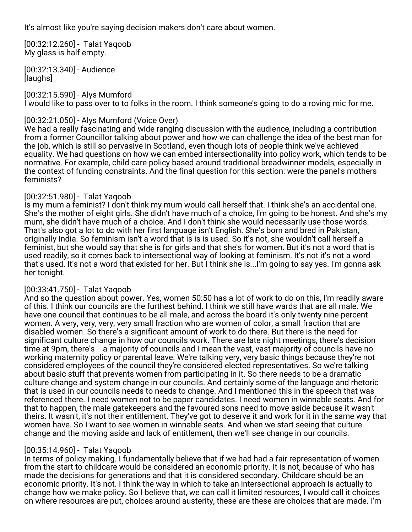It's almost like you're saying decision makers don't care about women.

[00:32:12.260] - Talat Yaqoob My glass is half empty.

[00:32:13.340] - Audience [laughs]

[00:32:15.590] - Alys Mumford I would like to pass over to to folks in the room. I think someone's going to do a roving mic for me.

## [00:32:21.050] - Alys Mumford (Voice Over)

We had a really fascinating and wide ranging discussion with the audience, including a contribution from a former Councillor talking about power and how we can challenge the idea of the best man for the job, which is still so pervasive in Scotland, even though lots of people think we've achieved equality. We had questions on how we can embed intersectionality into policy work, which tends to be normative. For example, child care policy based around traditional breadwinner models, especially in the context of funding constraints. And the final question for this section: were the panel's mothers feminists?

## [00:32:51.980] - Talat Yaqoob

Is my mum a feminist? I don't think my mum would call herself that. I think she's an accidental one. She's the mother of eight girls. She didn't have much of a choice, I'm going to be honest. And she's my mum, she didn't have much of a choice. And I don't think she would necessarily use those words. That's also got a lot to do with her first language isn't English. She's born and bred in Pakistan, originally India. So feminism isn't a word that is is is used. So it's not, she wouldn't call herself a feminist, but she would say that she is for girls and that she's for women. But it's not a word that is used readily, so it comes back to intersectional way of looking at feminism. It's not it's not a word that's used. It's not a word that existed for her. But I think she is...I'm going to say yes. I'm gonna ask her tonight.

## [00:33:41.750] - Talat Yaqoob

And so the question about power. Yes, women 50:50 has a lot of work to do on this, I'm readily aware of this. I think our councils are the furthest behind. I think we still have wards that are all male. We have one council that continues to be all male, and across the board it's only twenty nine percent women. A very, very, very, very small fraction who are women of color, a small fraction that are disabled women. So there's a significant amount of work to do there. But there is the need for significant culture change in how our councils work. There are late night meetings, there's decision time at 9pm, there's - a majority of councils and I mean the vast, vast majority of councils have no working maternity policy or parental leave. We're talking very, very basic things because they're not considered employees of the council they're considered elected representatives. So we're talking about basic stuff that prevents women from participating in it. So there needs to be a dramatic culture change and system change in our councils. And certainly some of the language and rhetoric that is used in our councils needs to needs to change. And I mentioned this in the speech that was referenced there. I need women not to be paper candidates. I need women in winnable seats. And for that to happen, the male gatekeepers and the favoured sons need to move aside because it wasn't theirs. It wasn't, it's not their entitlement. They've got to deserve it and work for it in the same way that women have. So I want to see women in winnable seats. And when we start seeing that culture change and the moving aside and lack of entitlement, then we'll see change in our councils.

## [00:35:14.960] - Talat Yaqoob

In terms of policy making. I fundamentally believe that if we had had a fair representation of women from the start to childcare would be considered an economic priority. It is not, because of who has made the decisions for generations and that it is considered secondary. Childcare should be an economic priority. It's not. I think the way in which to take an intersectional approach is actually to change how we make policy. So I believe that, we can call it limited resources, I would call it choices on where resources are put, choices around austerity, these are these are choices that are made. I'm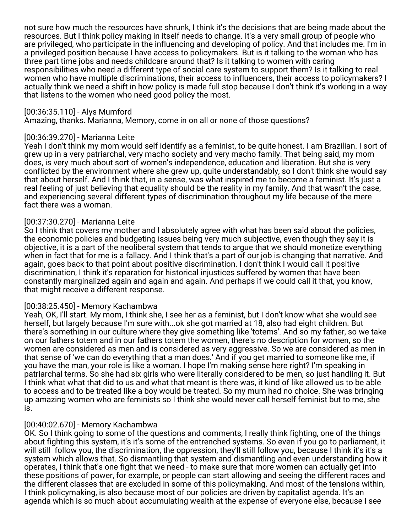not sure how much the resources have shrunk, I think it's the decisions that are being made about the resources. But I think policy making in itself needs to change. It's a very small group of people who are privileged, who participate in the influencing and developing of policy. And that includes me. I'm in a privileged position because I have access to policymakers. But is it talking to the woman who has three part time jobs and needs childcare around that? Is it talking to women with caring responsibilities who need a different type of social care system to support them? Is it talking to real women who have multiple discriminations, their access to influencers, their access to policymakers? I actually think we need a shift in how policy is made full stop because I don't think it's working in a way that listens to the women who need good policy the most.

### [00:36:35.110] - Alys Mumford

Amazing, thanks. Marianna, Memory, come in on all or none of those questions?

#### [00:36:39.270] - Marianna Leite

Yeah I don't think my mom would self identify as a feminist, to be quite honest. I am Brazilian. I sort of grew up in a very patriarchal, very macho society and very macho family. That being said, my mom does, is very much about sort of women's independence, education and liberation. But she is very conflicted by the environment where she grew up, quite understandably, so I don't think she would say that about herself. And I think that, in a sense, was what inspired me to become a feminist. It's just a real feeling of just believing that equality should be the reality in my family. And that wasn't the case, and experiencing several different types of discrimination throughout my life because of the mere fact there was a woman.

### [00:37:30.270] - Marianna Leite

So I think that covers my mother and I absolutely agree with what has been said about the policies, the economic policies and budgeting issues being very much subjective, even though they say it is objective, it is a part of the neoliberal system that tends to argue that we should monetize everything when in fact that for me is a fallacy. And I think that's a part of our job is changing that narrative. And again, goes back to that point about positive discrimination. I don't think I would call it positive discrimination, I think it's reparation for historical injustices suffered by women that have been constantly marginalized again and again and again. And perhaps if we could call it that, you know, that might receive a different response.

#### [00:38:25.450] - Memory Kachambwa

Yeah, OK, I'll start. My mom, I think she, I see her as a feminist, but I don't know what she would see herself, but largely because I'm sure with...ok she got married at 18, also had eight children. But there's something in our culture where they give something like 'totems'. And so my father, so we take on our fathers totem and in our fathers totem the women, there's no description for women, so the women are considered as men and is considered as very aggressive. So we are considered as men in that sense of 'we can do everything that a man does.' And if you get married to someone like me, if you have the man, your role is like a woman. I hope I'm making sense here right? I'm speaking in patriarchal terms. So she had six girls who were literally considered to be men, so just handling it. But I think what what that did to us and what that meant is there was, it kind of like allowed us to be able to access and to be treated like a boy would be treated. So my mum had no choice. She was bringing up amazing women who are feminists so I think she would never call herself feminist but to me, she is.

## [00:40:02.670] - Memory Kachambwa

OK. So I think going to some of the questions and comments, I really think fighting, one of the things about fighting this system, it's it's some of the entrenched systems. So even if you go to parliament, it will still follow you, the discrimination, the oppression, they'll still follow you, because I think it's it's a system which allows that. So dismantling that system and dismantling and even understanding how it operates, I think that's one fight that we need - to make sure that more women can actually get into these positions of power, for example, or people can start allowing and seeing the different races and the different classes that are excluded in some of this policymaking. And most of the tensions within, I think policymaking, is also because most of our policies are driven by capitalist agenda. It's an agenda which is so much about accumulating wealth at the expense of everyone else, because I see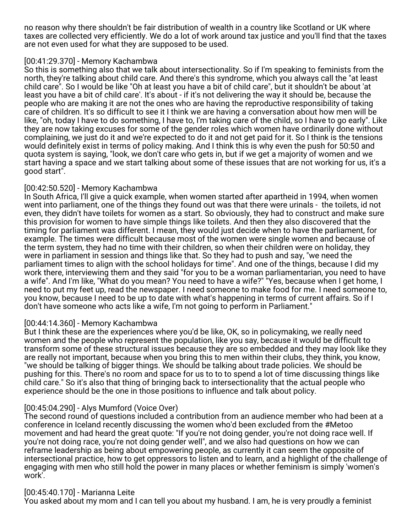no reason why there shouldn't be fair distribution of wealth in a country like Scotland or UK where taxes are collected very efficiently. We do a lot of work around tax justice and you'll find that the taxes are not even used for what they are supposed to be used.

### [00:41:29.370] - Memory Kachambwa

So this is something also that we talk about intersectionality. So if I'm speaking to feminists from the north, they're talking about child care. And there's this syndrome, which you always call the "at least child care". So I would be like "Oh at least you have a bit of child care", but it shouldn't be about 'at least you have a bit of child care'. It's about - if it's not delivering the way it should be, because the people who are making it are not the ones who are having the reproductive responsibility of taking care of children. It's so difficult to see it I think we are having a conversation about how men will be like, "oh, today I have to do something, I have to, I'm taking care of the child, so I have to go early". Like they are now taking excuses for some of the gender roles which women have ordinarily done without complaining, we just do it and we're expected to do it and not get paid for it. So I think is the tensions would definitely exist in terms of policy making. And I think this is why even the push for 50:50 and quota system is saying, "look, we don't care who gets in, but if we get a majority of women and we start having a space and we start talking about some of these issues that are not working for us, it's a good start".

## [00:42:50.520] - Memory Kachambwa

In South Africa, I'll give a quick example, when women started after apartheid in 1994, when women went into parliament, one of the things they found out was that there were urinals - the toilets, id not even, they didn't have toilets for women as a start. So obviously, they had to construct and make sure this provision for women to have simple things like toilets. And then they also discovered that the timing for parliament was different. I mean, they would just decide when to have the parliament, for example. The times were difficult because most of the women were single women and because of the term system, they had no time with their children, so when their children were on holiday, they were in parliament in session and things like that. So they had to push and say, "we need the parliament times to align with the school holidays for time". And one of the things, because I did my work there, interviewing them and they said "for you to be a woman parliamentarian, you need to have a wife". And I'm like, "What do you mean? You need to have a wife?" "Yes, because when I get home, I need to put my feet up, read the newspaper. I need someone to make food for me. I need someone to, you know, because I need to be up to date with what's happening in terms of current affairs. So if I don't have someone who acts like a wife, I'm not going to perform in Parliament."

## [00:44:14.360] - Memory Kachambwa

But I think these are the experiences where you'd be like, OK, so in policymaking, we really need women and the people who represent the population, like you say, because it would be difficult to transform some of these structural issues because they are so embedded and they may look like they are really not important, because when you bring this to men within their clubs, they think, you know, "we should be talking of bigger things. We should be talking about trade policies. We should be pushing for this. There's no room and space for us to to to spend a lot of time discussing things like child care." So it's also that thing of bringing back to intersectionality that the actual people who experience should be the one in those positions to influence and talk about policy.

## [00:45:04.290] - Alys Mumford (Voice Over)

The second round of questions included a contribution from an audience member who had been at a conference in Iceland recently discussing the women who'd been excluded from the #Metoo movement and had heard the great quote: "If you're not doing gender, you're not doing race well. If you're not doing race, you're not doing gender well", and we also had questions on how we can reframe leadership as being about empowering people, as currently it can seem the opposite of intersectional practice, how to get oppressors to listen and to learn, and a highlight of the challenge of engaging with men who still hold the power in many places or whether feminism is simply 'women's work'.

## [00:45:40.170] - Marianna Leite

You asked about my mom and I can tell you about my husband. I am, he is very proudly a feminist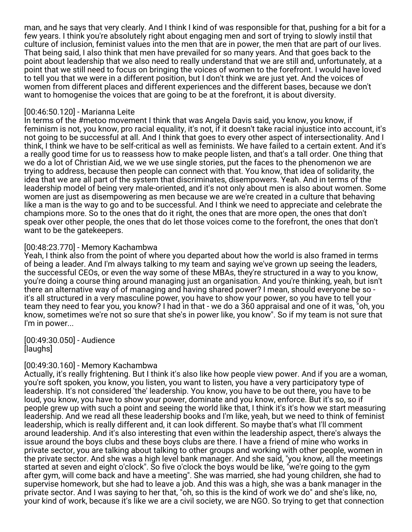man, and he says that very clearly. And I think I kind of was responsible for that, pushing for a bit for a few years. I think you're absolutely right about engaging men and sort of trying to slowly instil that culture of inclusion, feminist values into the men that are in power, the men that are part of our lives. That being said, I also think that men have prevailed for so many years. And that goes back to the point about leadership that we also need to really understand that we are still and, unfortunately, at a point that we still need to focus on bringing the voices of women to the forefront. I would have loved to tell you that we were in a different position, but I don't think we are just yet. And the voices of women from different places and different experiences and the different bases, because we don't want to homogenise the voices that are going to be at the forefront, it is about diversity.

### [00:46:50.120] - Marianna Leite

In terms of the #metoo movement I think that was Angela Davis said, you know, you know, if feminism is not, you know, pro racial equality, it's not, if it doesn't take racial injustice into account, it's not going to be successful at all. And I think that goes to every other aspect of intersectionality. And I think, I think we have to be self-critical as well as feminists. We have failed to a certain extent. And it's a really good time for us to reassess how to make people listen, and that's a tall order. One thing that we do a lot of Christian Aid, we we we use single stories, put the faces to the phenomenon we are trying to address, because then people can connect with that. You know, that idea of solidarity, the idea that we are all part of the system that discriminates, disempowers. Yeah. And in terms of the leadership model of being very male-oriented, and it's not only about men is also about women. Some women are just as disempowering as men because we are we're created in a culture that behaving like a man is the way to go and to be successful. And I think we need to appreciate and celebrate the champions more. So to the ones that do it right, the ones that are more open, the ones that don't speak over other people, the ones that do let those voices come to the forefront, the ones that don't want to be the gatekeepers.

## [00:48:23.770] - Memory Kachambwa

Yeah, I think also from the point of where you departed about how the world is also framed in terms of being a leader. And I'm always talking to my team and saying we've grown up seeing the leaders, the successful CEOs, or even the way some of these MBAs, they're structured in a way to you know, you're doing a course thing around managing just an organisation. And you're thinking, yeah, but isn't there an alternative way of of managing and having shared power? I mean, should everyone be so it's all structured in a very masculine power, you have to show your power, so you have to tell your team they need to fear you, you know? I had in that - we do a 360 appraisal and one of it was, "oh, you know, sometimes we're not so sure that she's in power like, you know". So if my team is not sure that I'm in power...

[00:49:30.050] - Audience [laughs]

## [00:49:30.160] - Memory Kachambwa

Actually, it's really frightening. But I think it's also like how people view power. And if you are a woman, you're soft spoken, you know, you listen, you want to listen, you have a very participatory type of leadership. It's not considered 'the' leadership. You know, you have to be out there, you have to be loud, you know, you have to show your power, dominate and you know, enforce. But it's so, so if people grew up with such a point and seeing the world like that, I think it's it's how we start measuring leadership. And we read all these leadership books and I'm like, yeah, but we need to think of feminist leadership, which is really different and, it can look different. So maybe that's what I'll comment around leadership. And it's also interesting that even within the leadership aspect, there's always the issue around the boys clubs and these boys clubs are there. I have a friend of mine who works in private sector, you are talking about talking to other groups and working with other people, women in the private sector. And she was a high level bank manager. And she said, "you know, all the meetings started at seven and eight o'clock". So five o'clock the boys would be like, "we're going to the gym after gym, will come back and have a meeting". She was married, she had young children, she had to supervise homework, but she had to leave a job. And this was a high, she was a bank manager in the private sector. And I was saying to her that, "oh, so this is the kind of work we do" and she's like, no, your kind of work, because it's like we are a civil society, we are NGO. So trying to get that connection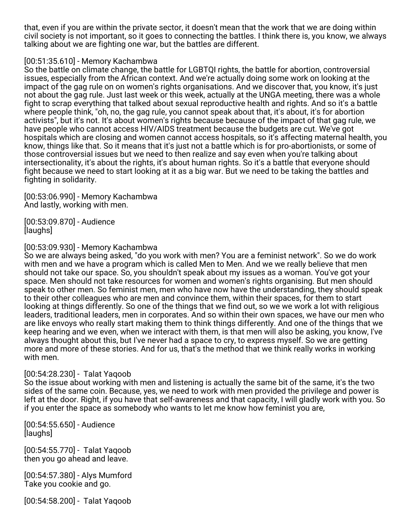that, even if you are within the private sector, it doesn't mean that the work that we are doing within civil society is not important, so it goes to connecting the battles. I think there is, you know, we always talking about we are fighting one war, but the battles are different.

### [00:51:35.610] - Memory Kachambwa

So the battle on climate change, the battle for LGBTQI rights, the battle for abortion, controversial issues, especially from the African context. And we're actually doing some work on looking at the impact of the gag rule on on women's rights organisations. And we discover that, you know, it's just not about the gag rule. Just last week or this week, actually at the UNGA meeting, there was a whole fight to scrap everything that talked about sexual reproductive health and rights. And so it's a battle where people think, "oh, no, the gag rule, you cannot speak about that, it's about, it's for abortion activists", but it's not. It's about women's rights because because of the impact of that gag rule, we have people who cannot access HIV/AIDS treatment because the budgets are cut. We've got hospitals which are closing and women cannot access hospitals, so it's affecting maternal health, you know, things like that. So it means that it's just not a battle which is for pro-abortionists, or some of those controversial issues but we need to then realize and say even when you're talking about intersectionality, it's about the rights, it's about human rights. So it's a battle that everyone should fight because we need to start looking at it as a big war. But we need to be taking the battles and fighting in solidarity.

[00:53:06.990] - Memory Kachambwa And lastly, working with men.

[00:53:09.870] - Audience [laughs]

## [00:53:09.930] - Memory Kachambwa

So we are always being asked, "do you work with men? You are a feminist network". So we do work with men and we have a program which is called Men to Men. And we we really believe that men should not take our space. So, you shouldn't speak about my issues as a woman. You've got your space. Men should not take resources for women and women's rights organising. But men should speak to other men. So feminist men, men who have now have the understanding, they should speak to their other colleagues who are men and convince them, within their spaces, for them to start looking at things differently. So one of the things that we find out, so we we work a lot with religious leaders, traditional leaders, men in corporates. And so within their own spaces, we have our men who are like envoys who really start making them to think things differently. And one of the things that we keep hearing and we even, when we interact with them, is that men will also be asking, you know, I've always thought about this, but I've never had a space to cry, to express myself. So we are getting more and more of these stories. And for us, that's the method that we think really works in working with men.

## [00:54:28.230] - Talat Yaqoob

So the issue about working with men and listening is actually the same bit of the same, it's the two sides of the same coin. Because, yes, we need to work with men provided the privilege and power is left at the door. Right, if you have that self-awareness and that capacity, I will gladly work with you. So if you enter the space as somebody who wants to let me know how feminist you are,

[00:54:55.650] - Audience [laughs]

[00:54:55.770] - Talat Yaqoob then you go ahead and leave.

[00:54:57.380] - Alys Mumford Take you cookie and go.

[00:54:58.200] - Talat Yaqoob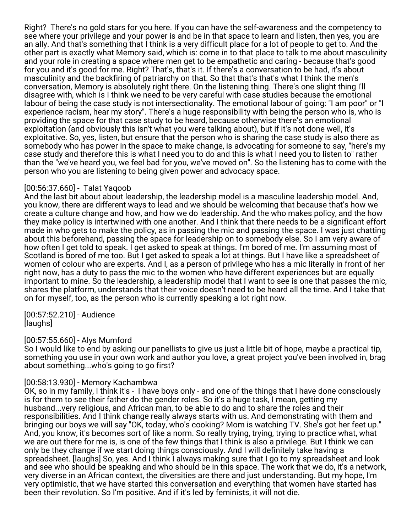Right? There's no gold stars for you here. If you can have the self-awareness and the competency to see where your privilege and your power is and be in that space to learn and listen, then yes, you are an ally. And that's something that I think is a very difficult place for a lot of people to get to. And the other part is exactly what Memory said, which is: come in to that place to talk to me about masculinity and your role in creating a space where men get to be empathetic and caring - because that's good for you and it's good for me. Right? That's, that's it. If there's a conversation to be had, it's about masculinity and the backfiring of patriarchy on that. So that that's that's what I think the men's conversation, Memory is absolutely right there. On the listening thing. There's one slight thing I'll disagree with, which is I think we need to be very careful with case studies because the emotional labour of being the case study is not intersectionality. The emotional labour of going: "I am poor" or "I experience racism, hear my story". There's a huge responsibility with being the person who is, who is providing the space for that case study to be heard, because otherwise there's an emotional exploitation (and obviously this isn't what you were talking about), but if it's not done well, it's exploitative. So, yes, listen, but ensure that the person who is sharing the case study is also there as somebody who has power in the space to make change, is advocating for someone to say, "here's my case study and therefore this is what I need you to do and this is what I need you to listen to" rather than the "we've heard you, we feel bad for you, we've moved on". So the listening has to come with the person who you are listening to being given power and advocacy space.

### [00:56:37.660] - Talat Yaqoob

And the last bit about about leadership, the leadership model is a masculine leadership model. And, you know, there are different ways to lead and we should be welcoming that because that's how we create a culture change and how, and how we do leadership. And the who makes policy, and the how they make policy is intertwined with one another. And I think that there needs to be a significant effort made in who gets to make the policy, as in passing the mic and passing the space. I was just chatting about this beforehand, passing the space for leadership on to somebody else. So I am very aware of how often I get told to speak. I get asked to speak at things. I'm bored of me. I'm assuming most of Scotland is bored of me too. But I get asked to speak a lot at things. But I have like a spreadsheet of women of colour who are experts. And I, as a person of privilege who has a mic literally in front of her right now, has a duty to pass the mic to the women who have different experiences but are equally important to mine. So the leadership, a leadership model that I want to see is one that passes the mic, shares the platform, understands that their voice doesn't need to be heard all the time. And I take that on for myself, too, as the person who is currently speaking a lot right now.

[00:57:52.210] - Audience [laughs]

## [00:57:55.660] - Alys Mumford

So I would like to end by asking our panellists to give us just a little bit of hope, maybe a practical tip, something you use in your own work and author you love, a great project you've been involved in, brag about something...who's going to go first?

## [00:58:13.930] - Memory Kachambwa

OK, so in my family, I think it's - I have boys only - and one of the things that I have done consciously is for them to see their father do the gender roles. So it's a huge task, I mean, getting my husband...very religious, and African man, to be able to do and to share the roles and their responsibilities. And I think change really always starts with us. And demonstrating with them and bringing our boys we will say "OK, today, who's cooking? Mom is watching TV. She's got her feet up." And, you know, it's becomes sort of like a norm. So really trying, trying, trying to practice what, what we are out there for me is, is one of the few things that I think is also a privilege. But I think we can only be they change if we start doing things consciously. And I will definitely take having a spreadsheet. [laughs] So, yes. And I think I always making sure that I go to my spreadsheet and look and see who should be speaking and who should be in this space. The work that we do, it's a network, very diverse in an African context, the diversities are there and just understanding. But my hope, I'm very optimistic, that we have started this conversation and everything that women have started has been their revolution. So I'm positive. And if it's led by feminists, it will not die.